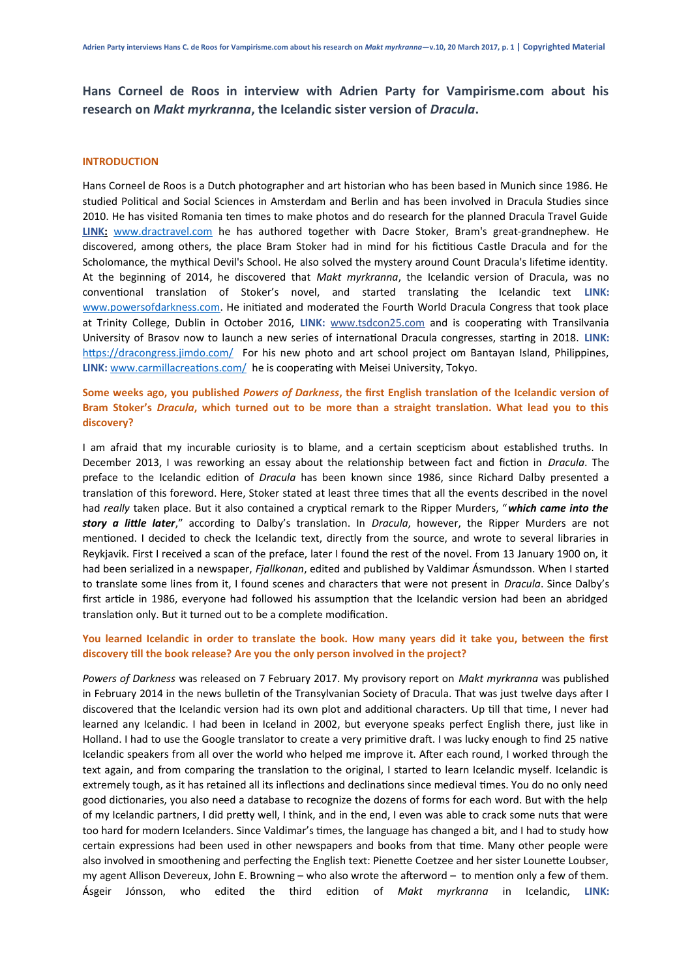**Hans Corneel de Roos in interview with Adrien Party for Vampirisme.com about his research on** *Makt myrkranna***, the Icelandic sister version of** *Dracula***.**

### **INTRODUCTION**

Hans Corneel de Roos is a Dutch photographer and art historian who has been based in Munich since 1986. He studied Political and Social Sciences in Amsterdam and Berlin and has been involved in Dracula Studies since 2010. He has visited Romania ten times to make photos and do research for the planned Dracula Travel Guide  **LINK :** [www.dractravel.com](http://www.dractravel.com/) he has authored together with Dacre Stoker, Bram's great-grandnephew. He discovered, among others, the place Bram Stoker had in mind for his fictitious Castle Dracula and for the Scholomance, the mythical Devil's School. He also solved the mystery around Count Dracula's lifetime identity. At the beginning of 2014, he discovered that *Makt myrkranna*, the Icelandic version of Dracula, was no conventional translation of Stoker's novel, and started translating the Icelandic text **LINK:** [www.powersofdarkness.com](http://www.powersofdarkness.com/). He initiated and moderated the Fourth World Dracula Congress that took place at Trinity College, Dublin in October 2016, **LINK:** [www.tsdcon25.com](http://www.tsdcon25.com/) and is cooperating with Transilvania University of Brasov now to launch a new series of international Dracula congresses, starting in 2018. **LINK:** <https://dracongress.jimdo.com/> For his new photo and art school project om Bantayan Island, Philippines, LINK: [www.carmillacreations.com/](http://www.carmillacreations.com/) he is cooperating with Meisei University, Tokyo.

**Some weeks ago, you published** *Powers of Darkness***, the first English translation of the Icelandic version of Bram Stoker's** *Dracula***, which turned out to be more than a straight translation. What lead you to this discovery?**

I am afraid that my incurable curiosity is to blame, and a certain scepticism about established truths. In December 2013, I was reworking an essay about the relationship between fact and fiction in *Dracula*. The preface to the Icelandic edition of *Dracula* has been known since 1986, since Richard Dalby presented a translation of this foreword. Here, Stoker stated at least three times that all the events described in the novel had *really* taken place. But it also contained a cryptical remark to the Ripper Murders, "*which came into the story a little later*," according to Dalby's translation. In *Dracula*, however, the Ripper Murders are not mentioned. I decided to check the Icelandic text, directly from the source, and wrote to several libraries in Reykjavik. First I received a scan of the preface, later I found the rest of the novel. From 13 January 1900 on, it had been serialized in a newspaper, *Fjallkonan*, edited and published by Valdimar Ásmundsson. When I started to translate some lines from it, I found scenes and characters that were not present in *Dracula*. Since Dalby's first article in 1986, everyone had followed his assumption that the Icelandic version had been an abridged translation only. But it turned out to be a complete modification.

# **You learned Icelandic in order to translate the book. How many years did it take you, between the first discovery till the book release? Are you the only person involved in the project?**

*Powers of Darkness* was released on 7 February 2017. My provisory report on *Makt myrkranna* was published in February 2014 in the news bulletin of the Transylvanian Society of Dracula. That was just twelve days after I discovered that the Icelandic version had its own plot and additional characters. Up till that time, I never had learned any Icelandic. I had been in Iceland in 2002, but everyone speaks perfect English there, just like in Holland. I had to use the Google translator to create a very primitive draft. I was lucky enough to find 25 native Icelandic speakers from all over the world who helped me improve it. After each round, I worked through the text again, and from comparing the translation to the original, I started to learn Icelandic myself. Icelandic is extremely tough, as it has retained all its inflections and declinations since medieval times. You do no only need good dictionaries, you also need a database to recognize the dozens of forms for each word. But with the help of my Icelandic partners, I did pretty well, I think, and in the end, I even was able to crack some nuts that were too hard for modern Icelanders. Since Valdimar's times, the language has changed a bit, and I had to study how certain expressions had been used in other newspapers and books from that time. Many other people were also involved in smoothening and perfecting the English text: Pienette Coetzee and her sister Lounette Loubser, my agent Allison Devereux, John E. Browning – who also wrote the afterword – to mention only a few of them. Ásgeir Jónsson, who edited the third edition of *Makt myrkranna* in Icelandic, **LINK:**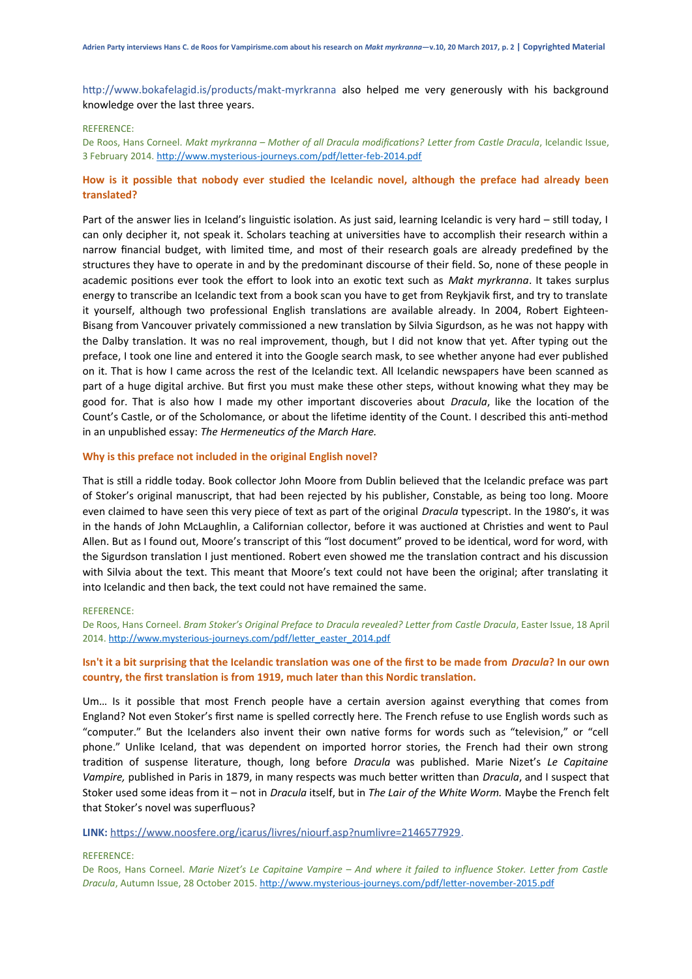http://www.bokafelagid.is/products/makt-myrkranna also helped me very generously with his background knowledge over the last three years.

#### REFERENCE:

De Roos, Hans Corneel. *Makt myrkranna – Mother of all Dracula modifications? Letter from Castle Dracula*, Icelandic Issue, 3 February 2014. <http://www.mysterious-journeys.com/pdf/letter-feb-2014.pdf>

# **How is it possible that nobody ever studied the Icelandic novel, although the preface had already been translated?**

Part of the answer lies in Iceland's linguistic isolation. As just said, learning Icelandic is very hard – still today, I can only decipher it, not speak it. Scholars teaching at universities have to accomplish their research within a narrow financial budget, with limited time, and most of their research goals are already predefined by the structures they have to operate in and by the predominant discourse of their field. So, none of these people in academic positions ever took the effort to look into an exotic text such as *Makt myrkranna*. It takes surplus energy to transcribe an Icelandic text from a book scan you have to get from Reykjavik first, and try to translate it yourself, although two professional English translations are available already. In 2004, Robert Eighteen-Bisang from Vancouver privately commissioned a new translation by Silvia Sigurdson, as he was not happy with the Dalby translation. It was no real improvement, though, but I did not know that yet. After typing out the preface, I took one line and entered it into the Google search mask, to see whether anyone had ever published on it. That is how I came across the rest of the Icelandic text. All Icelandic newspapers have been scanned as part of a huge digital archive. But first you must make these other steps, without knowing what they may be good for. That is also how I made my other important discoveries about *Dracula*, like the location of the Count's Castle, or of the Scholomance, or about the lifetime identity of the Count. I described this anti-method in an unpublished essay: *The Hermeneutics of the March Hare.*

#### **Why is this preface not included in the original English novel?**

That is still a riddle today. Book collector John Moore from Dublin believed that the Icelandic preface was part of Stoker's original manuscript, that had been rejected by his publisher, Constable, as being too long. Moore even claimed to have seen this very piece of text as part of the original *Dracula* typescript. In the 1980's, it was in the hands of John McLaughlin, a Californian collector, before it was auctioned at Christies and went to Paul Allen. But as I found out, Moore's transcript of this "lost document" proved to be identical, word for word, with the Sigurdson translation I just mentioned. Robert even showed me the translation contract and his discussion with Silvia about the text. This meant that Moore's text could not have been the original; after translating it into Icelandic and then back, the text could not have remained the same.

#### REFERENCE:

De Roos, Hans Corneel. *Bram Stoker's Original Preface to Dracula revealed? Letter from Castle Dracula*, Easter Issue, 18 April 2014. [http://www.mysterious-journeys.com/pdf/letter\\_easter\\_2014.pdf](http://www.mysterious-journeys.com/pdf/letter_easter_2014.pdf)

# **Isn't it a bit surprising that the Icelandic translation was one of the first to be made from** *Dracula***? In our own country, the first translation is from 1919, much later than this Nordic translation.**

Um… Is it possible that most French people have a certain aversion against everything that comes from England? Not even Stoker's first name is spelled correctly here. The French refuse to use English words such as "computer." But the Icelanders also invent their own native forms for words such as "television," or "cell phone." Unlike Iceland, that was dependent on imported horror stories, the French had their own strong tradition of suspense literature, though, long before *Dracula* was published. Marie Nizet's *Le Capitaine Vampire,* published in Paris in 1879, in many respects was much better written than *Dracula*, and I suspect that Stoker used some ideas from it – not in *Dracula* itself, but in *The Lair of the White Worm.* Maybe the French felt that Stoker's novel was superfluous?

**LINK:** [https://www.noosfere.org/icarus/livres/niourf.asp?numlivre=2146577929.](https://www.noosfere.org/icarus/livres/niourf.asp?numlivre=2146577929)

## REFERENCE:

De Roos, Hans Corneel. *Marie Nizet's Le Capitaine Vampire – And where it failed to influence Stoker. Letter from Castle Dracula*, Autumn Issue, 28 October 2015.<http://www.mysterious-journeys.com/pdf/letter-november-2015.pdf>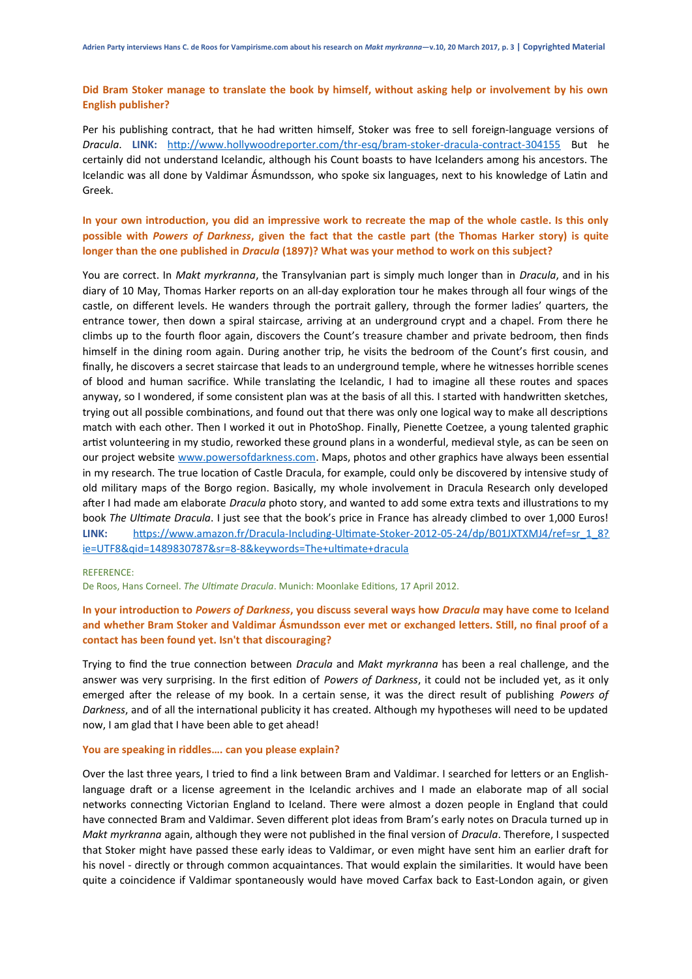# **Did Bram Stoker manage to translate the book by himself, without asking help or involvement by his own English publisher?**

Per his publishing contract, that he had written himself, Stoker was free to sell foreign-language versions of *Dracula*. **LINK:** <http://www.hollywoodreporter.com/thr-esq/bram-stoker-dracula-contract-304155>But he certainly did not understand Icelandic, although his Count boasts to have Icelanders among his ancestors. The Icelandic was all done by Valdimar Ásmundsson, who spoke six languages, next to his knowledge of Latin and Greek.

# **In your own introduction, you did an impressive work to recreate the map of the whole castle. Is this only possible with** *Powers of Darkness***, given the fact that the castle part (the Thomas Harker story) is quite longer than the one published in** *Dracula* **(1897)? What was your method to work on this subject?**

You are correct. In *Makt myrkranna*, the Transylvanian part is simply much longer than in *Dracula*, and in his diary of 10 May, Thomas Harker reports on an all-day exploration tour he makes through all four wings of the castle, on different levels. He wanders through the portrait gallery, through the former ladies' quarters, the entrance tower, then down a spiral staircase, arriving at an underground crypt and a chapel. From there he climbs up to the fourth floor again, discovers the Count's treasure chamber and private bedroom, then finds himself in the dining room again. During another trip, he visits the bedroom of the Count's first cousin, and finally, he discovers a secret staircase that leads to an underground temple, where he witnesses horrible scenes of blood and human sacrifice. While translating the Icelandic, I had to imagine all these routes and spaces anyway, so I wondered, if some consistent plan was at the basis of all this. I started with handwritten sketches, trying out all possible combinations, and found out that there was only one logical way to make all descriptions match with each other. Then I worked it out in PhotoShop. Finally, Pienette Coetzee, a young talented graphic artist volunteering in my studio, reworked these ground plans in a wonderful, medieval style, as can be seen on our project website [www.powersofdarkness.com.](http://www.powersofdarkness.com/) Maps, photos and other graphics have always been essential in my research. The true location of Castle Dracula, for example, could only be discovered by intensive study of old military maps of the Borgo region. Basically, my whole involvement in Dracula Research only developed after I had made am elaborate *Dracula* photo story, and wanted to add some extra texts and illustrations to my book *The Ultimate Dracula*. I just see that the book's price in France has already climbed to over 1,000 Euros! LINK: [https://www.amazon.fr/Dracula-Including-Ultimate-Stoker-2012-05-24/dp/B01JXTXMJ4/ref=sr\\_1\\_8?](https://www.amazon.fr/Dracula-Including-Ultimate-Stoker-2012-05-24/dp/B01JXTXMJ4/ref=sr_1_8?ie=UTF8&qid=1489830787&sr=8-8&keywords=The+ultimate+dracula) [ie=UTF8&qid=1489830787&sr=8-8&keywords=The+ultimate+dracula](https://www.amazon.fr/Dracula-Including-Ultimate-Stoker-2012-05-24/dp/B01JXTXMJ4/ref=sr_1_8?ie=UTF8&qid=1489830787&sr=8-8&keywords=The+ultimate+dracula)

## REFERENCE:

De Roos, Hans Corneel. *The Ultimate Dracula*. Munich: Moonlake Editions, 17 April 2012.

# **In your introduction to** *Powers of Darkness***, you discuss several ways how** *Dracula* **may have come to Iceland and whether Bram Stoker and Valdimar Ásmundsson ever met or exchanged letters. Still, no final proof of a contact has been found yet. Isn't that discouraging?**

Trying to find the true connection between *Dracula* and *Makt myrkranna* has been a real challenge, and the answer was very surprising. In the first edition of *Powers of Darkness*, it could not be included yet, as it only emerged after the release of my book. In a certain sense, it was the direct result of publishing *Powers of Darkness*, and of all the international publicity it has created. Although my hypotheses will need to be updated now, I am glad that I have been able to get ahead!

#### **You are speaking in riddles…. can you please explain?**

Over the last three years, I tried to find a link between Bram and Valdimar. I searched for letters or an Englishlanguage draft or a license agreement in the Icelandic archives and I made an elaborate map of all social networks connecting Victorian England to Iceland. There were almost a dozen people in England that could have connected Bram and Valdimar. Seven different plot ideas from Bram's early notes on Dracula turned up in *Makt myrkranna* again, although they were not published in the final version of *Dracula*. Therefore, I suspected that Stoker might have passed these early ideas to Valdimar, or even might have sent him an earlier draft for his novel - directly or through common acquaintances. That would explain the similarities. It would have been quite a coincidence if Valdimar spontaneously would have moved Carfax back to East-London again, or given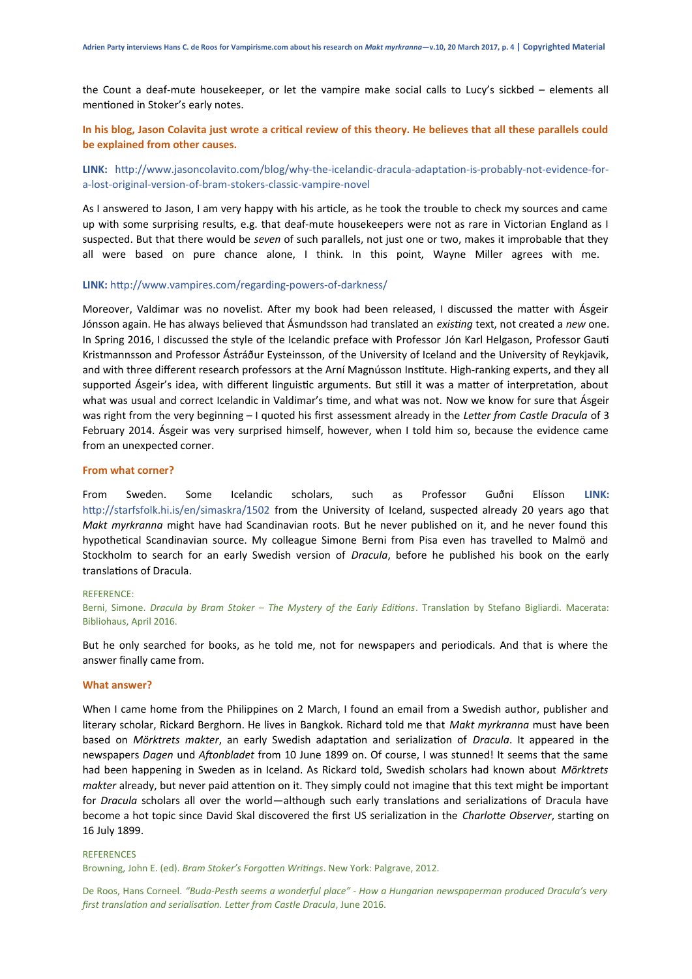the Count a deaf-mute housekeeper, or let the vampire make social calls to Lucy's sickbed – elements all mentioned in Stoker's early notes.

# **In his blog, Jason Colavita just wrote a critical review of this theory. He believes that all these parallels could be explained from other causes.**

**LINK:** http://www.jasoncolavito.com/blog/why-the-icelandic-dracula-adaptation-is-probably-not-evidence-fora-lost-original-version-of-bram-stokers-classic-vampire-novel

As I answered to Jason, I am very happy with his article, as he took the trouble to check my sources and came up with some surprising results, e.g. that deaf-mute housekeepers were not as rare in Victorian England as I suspected. But that there would be *seven* of such parallels, not just one or two, makes it improbable that they all were based on pure chance alone, I think. In this point, Wayne Miller agrees with me.

#### **LINK:** http://www.vampires.com/regarding-powers-of-darkness/

Moreover, Valdimar was no novelist. After my book had been released, I discussed the matter with Ásgeir Jónsson again. He has always believed that Ásmundsson had translated an *existing* text, not created a *new* one. In Spring 2016, I discussed the style of the Icelandic preface with Professor Jón Karl Helgason, Professor Gauti Kristmannsson and Professor Ástráður Eysteinsson, of the University of Iceland and the University of Reykjavik, and with three different research professors at the Arní Magnússon Institute. High-ranking experts, and they all supported Ásgeir's idea, with different linguistic arguments. But still it was a matter of interpretation, about what was usual and correct Icelandic in Valdimar's time, and what was not. Now we know for sure that Ásgeir was right from the very beginning – I quoted his first assessment already in the *Letter from Castle Dracula* of 3 February 2014. Ásgeir was very surprised himself, however, when I told him so, because the evidence came from an unexpected corner.

#### **From what corner?**

From Sweden. Some Icelandic scholars, such as Professor Guðni Elísson **LINK:** http://starfsfolk.hi.is/en/simaskra/1502 from the University of Iceland, suspected already 20 years ago that *Makt myrkranna* might have had Scandinavian roots. But he never published on it, and he never found this hypothetical Scandinavian source. My colleague Simone Berni from Pisa even has travelled to Malmö and Stockholm to search for an early Swedish version of *Dracula*, before he published his book on the early translations of Dracula.

#### REFERENCE:

Berni, Simone. *Dracula by Bram Stoker – The Mystery of the Early Editions*. Translation by Stefano Bigliardi. Macerata: Bibliohaus, April 2016.

But he only searched for books, as he told me, not for newspapers and periodicals. And that is where the answer finally came from.

#### **What answer?**

When I came home from the Philippines on 2 March, I found an email from a Swedish author, publisher and literary scholar, Rickard Berghorn. He lives in Bangkok. Richard told me that *Makt myrkranna* must have been based on *Mörktrets makter*, an early Swedish adaptation and serialization of *Dracula*. It appeared in the newspapers *Dagen* und *Aftonbladet* from 10 June 1899 on. Of course, I was stunned! It seems that the same had been happening in Sweden as in Iceland. As Rickard told, Swedish scholars had known about *Mörktrets makter* already, but never paid attention on it. They simply could not imagine that this text might be important for *Dracula* scholars all over the world—although such early translations and serializations of Dracula have become a hot topic since David Skal discovered the first US serialization in the *Charlotte Observer*, starting on 16 July 1899.

#### **REFERENCES**

Browning, John E. (ed). *Bram Stoker's Forgotten Writings*. New York: Palgrave, 2012.

De Roos, Hans Corneel. *"Buda-Pesth seems a wonderful place" - How a Hungarian newspaperman produced Dracula's very first translation and serialisation. Letter from Castle Dracula*, June 2016.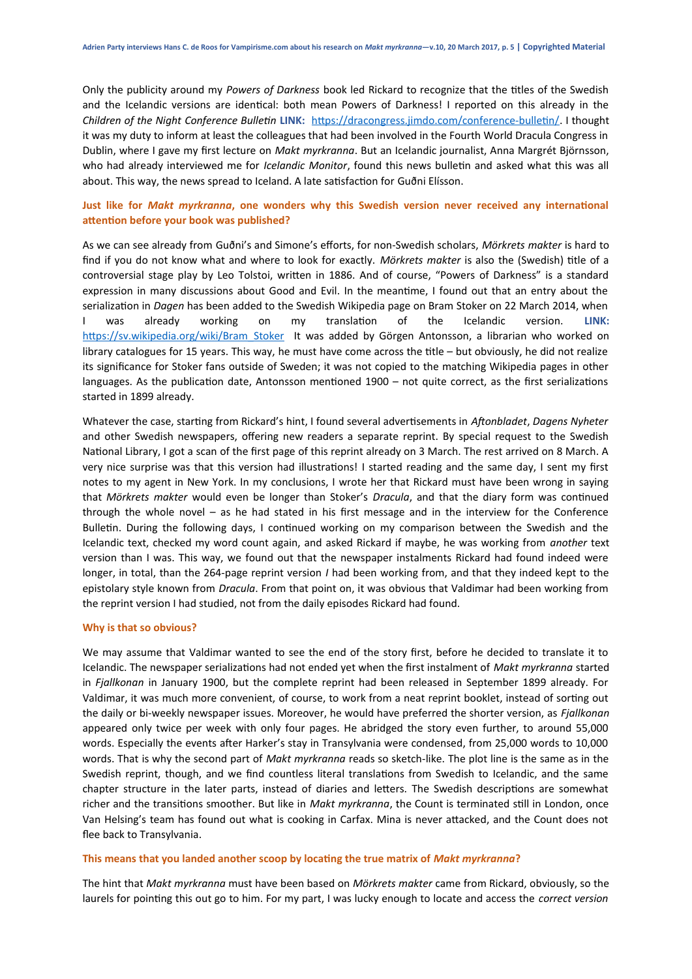Only the publicity around my *Powers of Darkness* book led Rickard to recognize that the titles of the Swedish and the Icelandic versions are identical: both mean Powers of Darkness! I reported on this already in the *Children of the Night Conference Bulletin* **LINK:** [https://dracongress.jimdo.com/conference-bulletin/.](https://dracongress.jimdo.com/conference-bulletin/) I thought it was my duty to inform at least the colleagues that had been involved in the Fourth World Dracula Congress in Dublin, where I gave my first lecture on *Makt myrkranna*. But an Icelandic journalist, Anna Margrét Björnsson, who had already interviewed me for *Icelandic Monitor*, found this news bulletin and asked what this was all about. This way, the news spread to Iceland. A late satisfaction for Guðni Elísson.

# **Just like for** *Makt myrkranna***, one wonders why this Swedish version never received any international attention before your book was published?**

As we can see already from Guðni's and Simone's efforts, for non-Swedish scholars, *Mörkrets makter* is hard to find if you do not know what and where to look for exactly. *Mörkrets makter* is also the (Swedish) title of a controversial stage play by Leo Tolstoi, written in 1886. And of course, "Powers of Darkness" is a standard expression in many discussions about Good and Evil. In the meantime, I found out that an entry about the serialization in *Dagen* has been added to the Swedish Wikipedia page on Bram Stoker on 22 March 2014, when I was already working on my translation of the Icelandic version. **LINK:** [https://sv.wikipedia.org/wiki/Bram\\_Stoker](https://sv.wikipedia.org/wiki/Bram_Stoker) It was added by Görgen Antonsson, a librarian who worked on library catalogues for 15 years. This way, he must have come across the title – but obviously, he did not realize its significance for Stoker fans outside of Sweden; it was not copied to the matching Wikipedia pages in other languages. As the publication date, Antonsson mentioned 1900 – not quite correct, as the first serializations started in 1899 already.

Whatever the case, starting from Rickard's hint, I found several advertisements in *Aftonbladet*, *Dagens Nyheter* and other Swedish newspapers, offering new readers a separate reprint. By special request to the Swedish National Library, I got a scan of the first page of this reprint already on 3 March. The rest arrived on 8 March. A very nice surprise was that this version had illustrations! I started reading and the same day, I sent my first notes to my agent in New York. In my conclusions, I wrote her that Rickard must have been wrong in saying that *Mörkrets makter* would even be longer than Stoker's *Dracula*, and that the diary form was continued through the whole novel – as he had stated in his first message and in the interview for the Conference Bulletin. During the following days, I continued working on my comparison between the Swedish and the Icelandic text, checked my word count again, and asked Rickard if maybe, he was working from *another* text version than I was. This way, we found out that the newspaper instalments Rickard had found indeed were longer, in total, than the 264-page reprint version *I* had been working from, and that they indeed kept to the epistolary style known from *Dracula*. From that point on, it was obvious that Valdimar had been working from the reprint version I had studied, not from the daily episodes Rickard had found.

## **Why is that so obvious?**

We may assume that Valdimar wanted to see the end of the story first, before he decided to translate it to Icelandic. The newspaper serializations had not ended yet when the first instalment of *Makt myrkranna* started in *Fjallkonan* in January 1900, but the complete reprint had been released in September 1899 already. For Valdimar, it was much more convenient, of course, to work from a neat reprint booklet, instead of sorting out the daily or bi-weekly newspaper issues. Moreover, he would have preferred the shorter version, as *Fjallkonan* appeared only twice per week with only four pages. He abridged the story even further, to around 55,000 words. Especially the events after Harker's stay in Transylvania were condensed, from 25,000 words to 10,000 words. That is why the second part of *Makt myrkranna* reads so sketch-like. The plot line is the same as in the Swedish reprint, though, and we find countless literal translations from Swedish to Icelandic, and the same chapter structure in the later parts, instead of diaries and letters. The Swedish descriptions are somewhat richer and the transitions smoother. But like in *Makt myrkranna*, the Count is terminated still in London, once Van Helsing's team has found out what is cooking in Carfax. Mina is never attacked, and the Count does not flee back to Transylvania.

#### **This means that you landed another scoop by locating the true matrix of** *Makt myrkranna***?**

The hint that *Makt myrkranna* must have been based on *Mörkrets makter* came from Rickard, obviously, so the laurels for pointing this out go to him. For my part, I was lucky enough to locate and access the *correct version*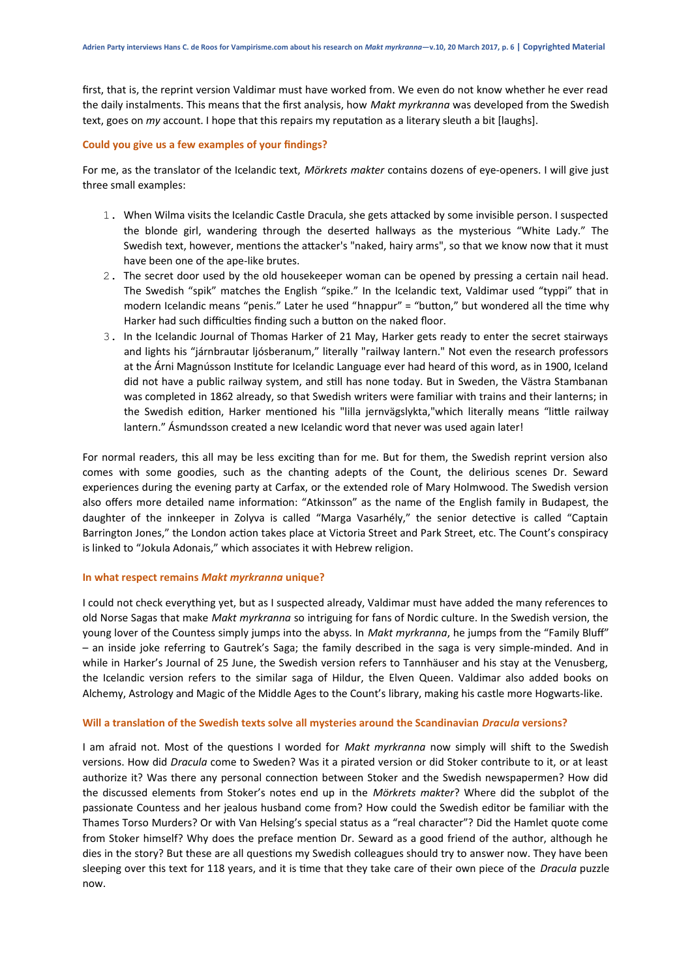first, that is, the reprint version Valdimar must have worked from. We even do not know whether he ever read the daily instalments. This means that the first analysis, how *Makt myrkranna* was developed from the Swedish text, goes on *my* account. I hope that this repairs my reputation as a literary sleuth a bit [laughs].

#### **Could you give us a few examples of your findings?**

For me, as the translator of the Icelandic text, *Mörkrets makter* contains dozens of eye-openers. I will give just three small examples:

- 1. When Wilma visits the Icelandic Castle Dracula, she gets attacked by some invisible person. I suspected the blonde girl, wandering through the deserted hallways as the mysterious "White Lady." The Swedish text, however, mentions the attacker's "naked, hairy arms", so that we know now that it must have been one of the ape-like brutes.
- 2. The secret door used by the old housekeeper woman can be opened by pressing a certain nail head. The Swedish "spik" matches the English "spike." In the Icelandic text, Valdimar used "typpi" that in modern Icelandic means "penis." Later he used "hnappur" = "button," but wondered all the time why Harker had such difficulties finding such a button on the naked floor.
- 3. In the Icelandic Journal of Thomas Harker of 21 May, Harker gets ready to enter the secret stairways and lights his "járnbrautar ljósberanum," literally "railway lantern." Not even the research professors at the Árni Magnússon Institute for Icelandic Language ever had heard of this word, as in 1900, Iceland did not have a public railway system, and still has none today. But in Sweden, the Västra Stambanan was completed in 1862 already, so that Swedish writers were familiar with trains and their lanterns; in the Swedish edition, Harker mentioned his "lilla jernvägslykta,"which literally means "little railway lantern." Ásmundsson created a new Icelandic word that never was used again later!

For normal readers, this all may be less exciting than for me. But for them, the Swedish reprint version also comes with some goodies, such as the chanting adepts of the Count, the delirious scenes Dr. Seward experiences during the evening party at Carfax, or the extended role of Mary Holmwood. The Swedish version also offers more detailed name information: "Atkinsson" as the name of the English family in Budapest, the daughter of the innkeeper in Zolyva is called "Marga Vasarhély," the senior detective is called "Captain Barrington Jones," the London action takes place at Victoria Street and Park Street, etc. The Count's conspiracy is linked to "Jokula Adonais," which associates it with Hebrew religion.

## **In what respect remains** *Makt myrkranna* **unique?**

I could not check everything yet, but as I suspected already, Valdimar must have added the many references to old Norse Sagas that make *Makt myrkranna* so intriguing for fans of Nordic culture. In the Swedish version, the young lover of the Countess simply jumps into the abyss. In *Makt myrkranna*, he jumps from the "Family Bluff" – an inside joke referring to Gautrek's Saga; the family described in the saga is very simple-minded. And in while in Harker's Journal of 25 June, the Swedish version refers to Tannhäuser and his stay at the Venusberg, the Icelandic version refers to the similar saga of Hildur, the Elven Queen. Valdimar also added books on Alchemy, Astrology and Magic of the Middle Ages to the Count's library, making his castle more Hogwarts-like.

## **Will a translation of the Swedish texts solve all mysteries around the Scandinavian** *Dracula* **versions?**

I am afraid not. Most of the questions I worded for *Makt myrkranna* now simply will shift to the Swedish versions. How did *Dracula* come to Sweden? Was it a pirated version or did Stoker contribute to it, or at least authorize it? Was there any personal connection between Stoker and the Swedish newspapermen? How did the discussed elements from Stoker's notes end up in the *Mörkrets makter*? Where did the subplot of the passionate Countess and her jealous husband come from? How could the Swedish editor be familiar with the Thames Torso Murders? Or with Van Helsing's special status as a "real character"? Did the Hamlet quote come from Stoker himself? Why does the preface mention Dr. Seward as a good friend of the author, although he dies in the story? But these are all questions my Swedish colleagues should try to answer now. They have been sleeping over this text for 118 years, and it is time that they take care of their own piece of the *Dracula* puzzle now.